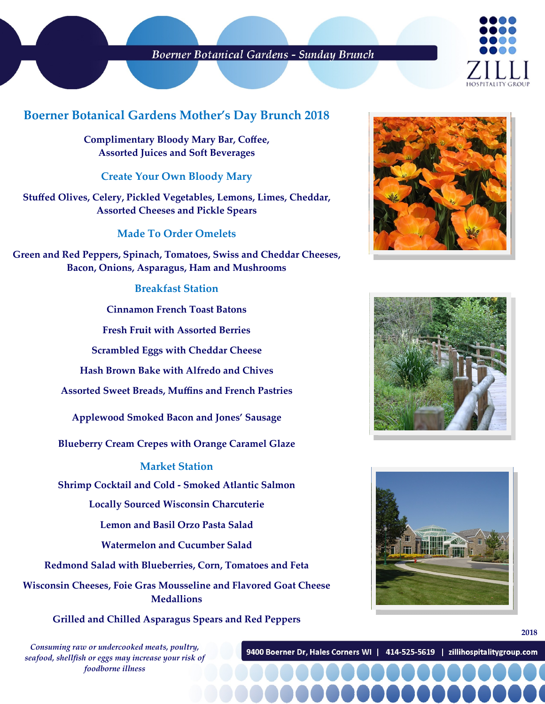## Boerner Botanical Gardens - Sunday Brunch



# **Boerner Botanical Gardens Mother's Day Brunch 2018**

**Complimentary Bloody Mary Bar, Coffee, Assorted Juices and Soft Beverages**

### **Create Your Own Bloody Mary**

**Stuffed Olives, Celery, Pickled Vegetables, Lemons, Limes, Cheddar, Assorted Cheeses and Pickle Spears**

### **Made To Order Omelets**

**Green and Red Peppers, Spinach, Tomatoes, Swiss and Cheddar Cheeses, Bacon, Onions, Asparagus, Ham and Mushrooms**

### **Breakfast Station**

**Cinnamon French Toast Batons**

**Fresh Fruit with Assorted Berries**

**Scrambled Eggs with Cheddar Cheese**

**Hash Brown Bake with Alfredo and Chives**

**Assorted Sweet Breads, Muffins and French Pastries**

**Applewood Smoked Bacon and Jones' Sausage** 

**Blueberry Cream Crepes with Orange Caramel Glaze**

**Market Station**

**Shrimp Cocktail and Cold - Smoked Atlantic Salmon** 

**Locally Sourced Wisconsin Charcuterie**

**Lemon and Basil Orzo Pasta Salad**

**Watermelon and Cucumber Salad**

**Redmond Salad with Blueberries, Corn, Tomatoes and Feta**

**Wisconsin Cheeses, Foie Gras Mousseline and Flavored Goat Cheese Medallions**

**Grilled and Chilled Asparagus Spears and Red Peppers**

*Consuming raw or undercooked meats, poultry, seafood, shellfish or eggs may increase your risk of foodborne illness*







**2018**

9400 Boerner Dr, Hales Corners WI | 414-525-5619 | zillihospitalitygroup.com